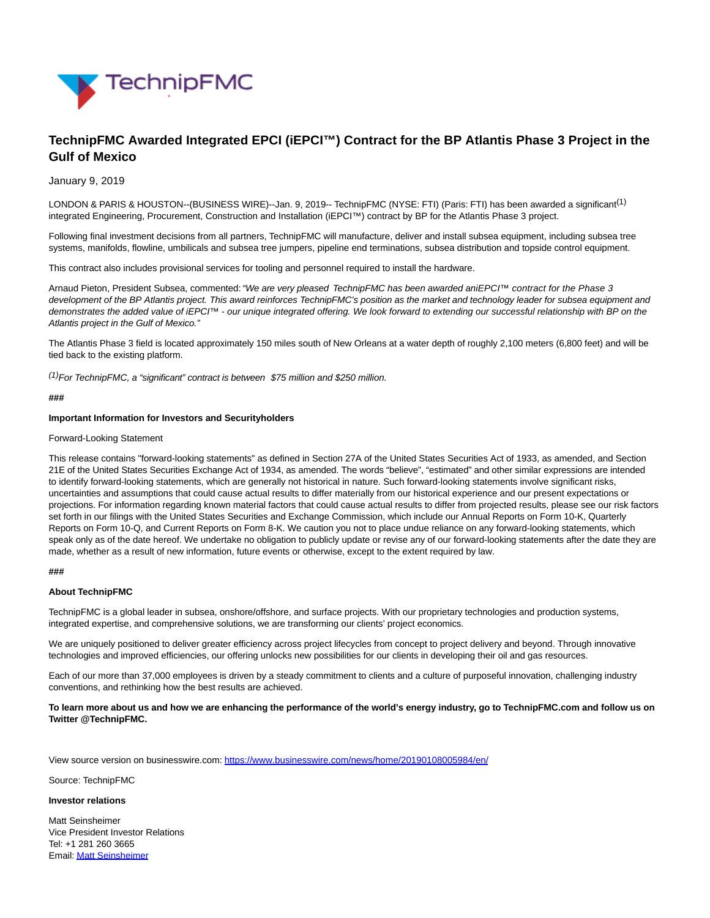

# **TechnipFMC Awarded Integrated EPCI (iEPCI™) Contract for the BP Atlantis Phase 3 Project in the Gulf of Mexico**

#### January 9, 2019

LONDON & PARIS & HOUSTON--(BUSINESS WIRE)--Jan. 9, 2019-- TechnipFMC (NYSE: FTI) (Paris: FTI) has been awarded a significant<sup>(1)</sup> integrated Engineering, Procurement, Construction and Installation (iEPCI™) contract by BP for the Atlantis Phase 3 project.

Following final investment decisions from all partners, TechnipFMC will manufacture, deliver and install subsea equipment, including subsea tree systems, manifolds, flowline, umbilicals and subsea tree jumpers, pipeline end terminations, subsea distribution and topside control equipment.

This contract also includes provisional services for tooling and personnel required to install the hardware.

Arnaud Pieton, President Subsea, commented: "We are very pleased TechnipFMC has been awarded aniEPCI™ contract for the Phase 3 development of the BP Atlantis project. This award reinforces TechnipFMC's position as the market and technology leader for subsea equipment and demonstrates the added value of iEPCI™ - our unique integrated offering. We look forward to extending our successful relationship with BP on the Atlantis project in the Gulf of Mexico."

The Atlantis Phase 3 field is located approximately 150 miles south of New Orleans at a water depth of roughly 2,100 meters (6,800 feet) and will be tied back to the existing platform.

 $(1)$ For TechnipFMC, a "significant" contract is between \$75 million and \$250 million.

#### **###**

#### **Important Information for Investors and Securityholders**

#### Forward-Looking Statement

This release contains "forward-looking statements" as defined in Section 27A of the United States Securities Act of 1933, as amended, and Section 21E of the United States Securities Exchange Act of 1934, as amended. The words "believe", "estimated" and other similar expressions are intended to identify forward-looking statements, which are generally not historical in nature. Such forward-looking statements involve significant risks, uncertainties and assumptions that could cause actual results to differ materially from our historical experience and our present expectations or projections. For information regarding known material factors that could cause actual results to differ from projected results, please see our risk factors set forth in our filings with the United States Securities and Exchange Commission, which include our Annual Reports on Form 10-K, Quarterly Reports on Form 10-Q, and Current Reports on Form 8-K. We caution you not to place undue reliance on any forward-looking statements, which speak only as of the date hereof. We undertake no obligation to publicly update or revise any of our forward-looking statements after the date they are made, whether as a result of new information, future events or otherwise, except to the extent required by law.

#### **###**

#### **About TechnipFMC**

TechnipFMC is a global leader in subsea, onshore/offshore, and surface projects. With our proprietary technologies and production systems, integrated expertise, and comprehensive solutions, we are transforming our clients' project economics.

We are uniquely positioned to deliver greater efficiency across project lifecycles from concept to project delivery and beyond. Through innovative technologies and improved efficiencies, our offering unlocks new possibilities for our clients in developing their oil and gas resources.

Each of our more than 37,000 employees is driven by a steady commitment to clients and a culture of purposeful innovation, challenging industry conventions, and rethinking how the best results are achieved.

**To learn more about us and how we are enhancing the performance of the world's energy industry, go to TechnipFMC.com and follow us on Twitter @TechnipFMC.**

View source version on businesswire.com:<https://www.businesswire.com/news/home/20190108005984/en/>

Source: TechnipFMC

### **Investor relations**

Matt Seinsheimer Vice President Investor Relations Tel: +1 281 260 3665 Email[: Matt Seinsheimer](mailto:InvestorRelations@TechnipFMC.com)